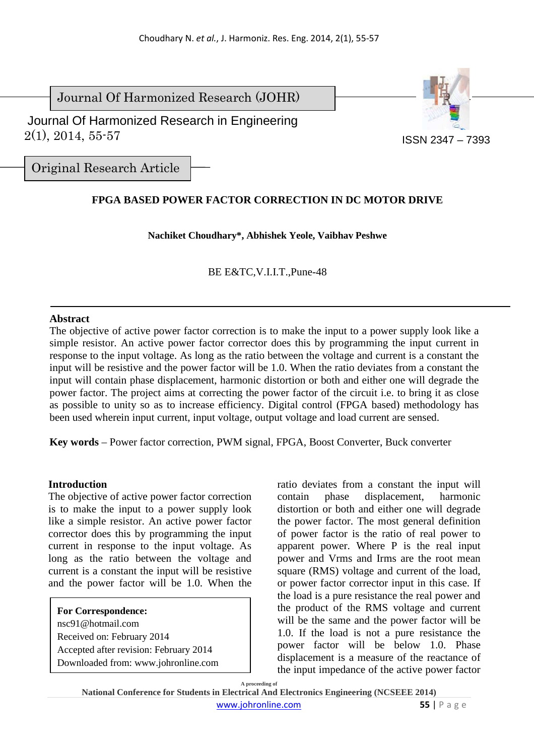Journal Of Harmonized Research (JOHR)



 $2(1), 2014, 55.57$ Journal Of Harmonized Research in Engineering

Original Research Article

# **FPGA BASED POWER FACTOR CORRECTION IN DC MOTOR DRIVE**

## **Nachiket Choudhary\*, Abhishek Yeole, Vaibhav Peshwe**

BE E&TC,V.I.I.T.,Pune-48

## **Abstract**

The objective of active power factor correction is to make the input to a power supply look like a simple resistor. An active power factor corrector does this by programming the input current in response to the input voltage. As long as the ratio between the voltage and current is a constant the input will be resistive and the power factor will be 1.0. When the ratio deviates from a constant the input will contain phase displacement, harmonic distortion or both and either one will degrade the power factor. The project aims at correcting the power factor of the circuit i.e. to bring it as close as possible to unity so as to increase efficiency. Digital control (FPGA based) methodology has been used wherein input current, input voltage, output voltage and load current are sensed.

**Key words** – Power factor correction, PWM signal, FPGA, Boost Converter, Buck converter

## **Introduction**

The objective of active power factor correction is to make the input to a power supply look like a simple resistor. An active power factor corrector does this by programming the input current in response to the input voltage. As long as the ratio between the voltage and current is a constant the input will be resistive and the power factor will be 1.0. When the

**For Correspondence:**  nsc91@hotmail.com Received on: February 2014 Accepted after revision: February 2014 Downloaded from: www.johronline.com ratio deviates from a constant the input will contain phase displacement, harmonic distortion or both and either one will degrade the power factor. The most general definition of power factor is the ratio of real power to apparent power. Where P is the real input power and Vrms and Irms are the root mean square (RMS) voltage and current of the load, or power factor corrector input in this case. If the load is a pure resistance the real power and the product of the RMS voltage and current will be the same and the power factor will be 1.0. If the load is not a pure resistance the power factor will be below 1.0. Phase displacement is a measure of the reactance of the input impedance of the active power factor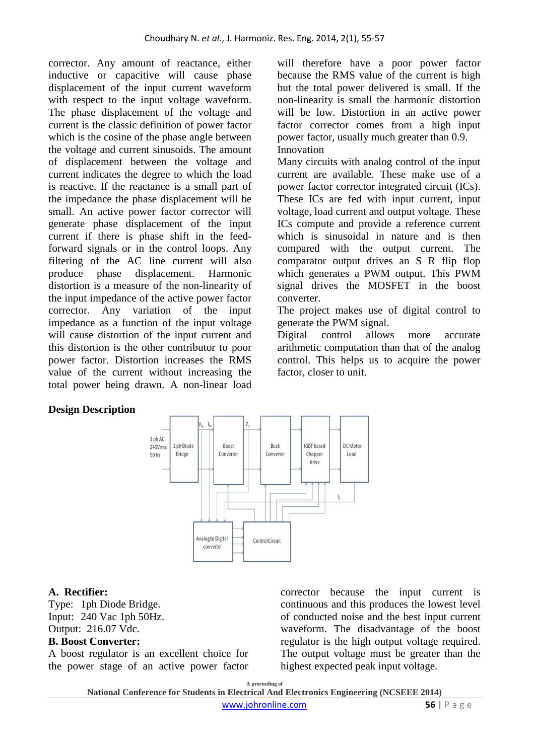corrector. Any amount of reactance, either inductive or capacitive will cause phase displacement of the input current waveform with respect to the input voltage waveform. The phase displacement of the voltage and current is the classic definition of power factor which is the cosine of the phase angle between the voltage and current sinusoids. The amount of displacement between the voltage and current indicates the degree to which the load is reactive. If the reactance is a small part of the impedance the phase displacement will be small. An active power factor corrector will generate phase displacement of the input current if there is phase shift in the feedforward signals or in the control loops. Any filtering of the AC line current will also produce phase displacement. Harmonic distortion is a measure of the non-linearity of the input impedance of the active power factor corrector. Any variation of the input impedance as a function of the input voltage will cause distortion of the input current and this distortion is the other contributor to poor power factor. Distortion increases the RMS value of the current without increasing the total power being drawn. A non-linear load

will therefore have a poor power factor because the RMS value of the current is high but the total power delivered is small. If the non-linearity is small the harmonic distortion will be low. Distortion in an active power factor corrector comes from a high input power factor, usually much greater than 0.9. Innovation

Many circuits with analog control of the input current are available. These make use of a power factor corrector integrated circuit (ICs). These ICs are fed with input current, input voltage, load current and output voltage. These ICs compute and provide a reference current which is sinusoidal in nature and is then compared with the output current. The comparator output drives an S R flip flop which generates a PWM output. This PWM signal drives the MOSFET in the boost converter.

The project makes use of digital control to generate the PWM signal.

Digital control allows more accurate arithmetic computation than that of the analog control. This helps us to acquire the power factor, closer to unit.

# **Design Description**



## **A. Rectifier:**

Type: 1ph Diode Bridge. Input: 240 Vac 1ph 50Hz. Output: 216.07 Vdc.

## **B. Boost Converter:**

A boost regulator is an excellent choice for the power stage of an active power factor corrector because the input current is continuous and this produces the lowest level of conducted noise and the best input current waveform. The disadvantage of the boost regulator is the high output voltage required. The output voltage must be greater than the highest expected peak input voltage.